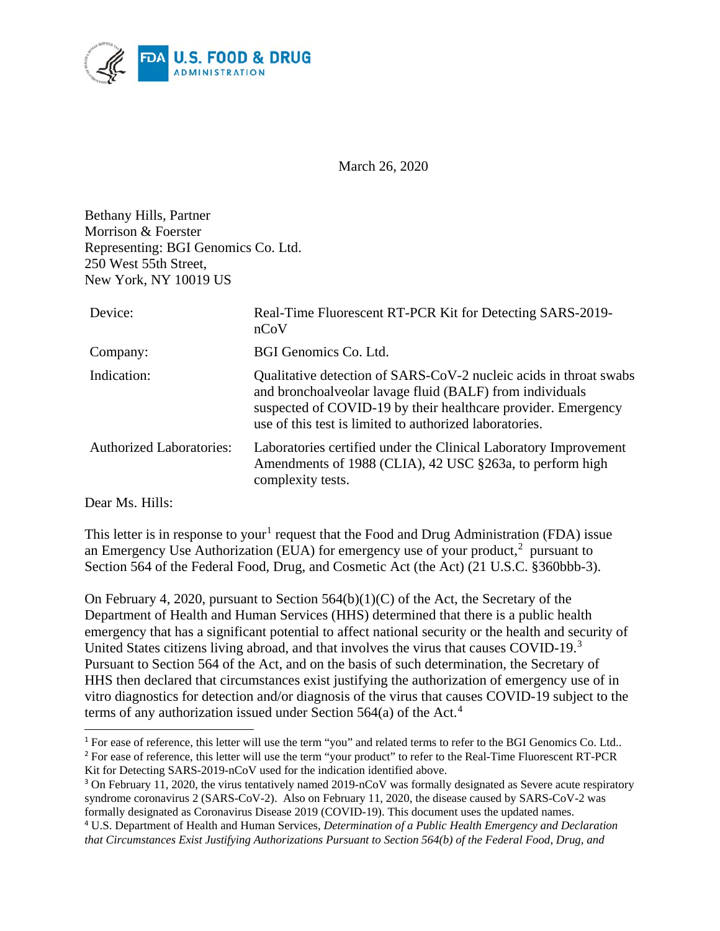

March 26, 2020

Bethany Hills, Partner Morrison & Foerster Representing: BGI Genomics Co. Ltd. 250 West 55th Street, New York, NY 10019 US

| Device:                         | Real-Time Fluorescent RT-PCR Kit for Detecting SARS-2019-<br>nCoV                                                                                                                                                                                         |
|---------------------------------|-----------------------------------------------------------------------------------------------------------------------------------------------------------------------------------------------------------------------------------------------------------|
| Company:                        | BGI Genomics Co. Ltd.                                                                                                                                                                                                                                     |
| Indication:                     | Qualitative detection of SARS-CoV-2 nucleic acids in throat swabs<br>and bronchoalveolar lavage fluid (BALF) from individuals<br>suspected of COVID-19 by their healthcare provider. Emergency<br>use of this test is limited to authorized laboratories. |
| <b>Authorized Laboratories:</b> | Laboratories certified under the Clinical Laboratory Improvement<br>Amendments of 1988 (CLIA), 42 USC §263a, to perform high<br>complexity tests.                                                                                                         |

Dear Ms. Hills:

 $\overline{a}$ 

This letter is in response to your<sup>[1](#page-0-0)</sup> request that the Food and Drug Administration (FDA) issue an Emergency Use Authorization (EUA) for emergency use of your product,<sup>[2](#page-0-1)</sup> pursuant to Section 564 of the Federal Food, Drug, and Cosmetic Act (the Act) (21 U.S.C. §360bbb-3).

On February 4, 2020, pursuant to Section  $564(b)(1)(C)$  of the Act, the Secretary of the Department of Health and Human Services (HHS) determined that there is a public health emergency that has a significant potential to affect national security or the health and security of United States citizens living abroad, and that involves the virus that causes COVID-19.<sup>[3](#page-0-2)</sup> Pursuant to Section 564 of the Act, and on the basis of such determination, the Secretary of HHS then declared that circumstances exist justifying the authorization of emergency use of in vitro diagnostics for detection and/or diagnosis of the virus that causes COVID-19 subject to the terms of any authorization issued under Section 564(a) of the Act. [4](#page-0-3)

<span id="page-0-1"></span><span id="page-0-0"></span><sup>&</sup>lt;sup>1</sup> For ease of reference, this letter will use the term "you" and related terms to refer to the BGI Genomics Co. Ltd.. <sup>2</sup> For ease of reference, this letter will use the term "your product" to refer to the Real-Time Fluorescent RT-PCR Kit for Detecting SARS-2019-nCoV used for the indication identified above.

<span id="page-0-2"></span><sup>&</sup>lt;sup>3</sup> On February 11, 2020, the virus tentatively named 2019-nCoV was formally designated as Severe acute respiratory syndrome coronavirus 2 (SARS-CoV-2). Also on February 11, 2020, the disease caused by SARS-CoV-2 was formally designated as Coronavirus Disease 2019 (COVID-19). This document uses the updated names.

<span id="page-0-3"></span><sup>4</sup> U.S. Department of Health and Human Services, *Determination of a Public Health Emergency and Declaration that Circumstances Exist Justifying Authorizations Pursuant to Section 564(b) of the Federal Food, Drug, and*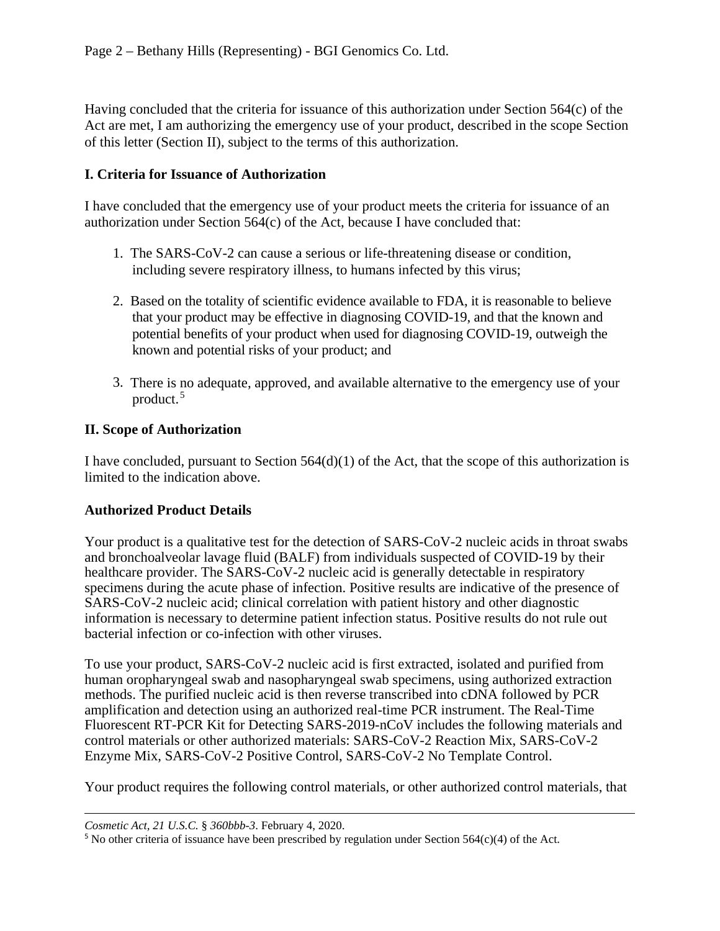Having concluded that the criteria for issuance of this authorization under Section 564(c) of the Act are met, I am authorizing the emergency use of your product, described in the scope Section of this letter (Section II), subject to the terms of this authorization.

#### **I. Criteria for Issuance of Authorization**

I have concluded that the emergency use of your product meets the criteria for issuance of an authorization under Section 564(c) of the Act, because I have concluded that:

- 1. The SARS-CoV-2 can cause a serious or life-threatening disease or condition, including severe respiratory illness, to humans infected by this virus;
- 2. Based on the totality of scientific evidence available to FDA, it is reasonable to believe that your product may be effective in diagnosing COVID-19, and that the known and potential benefits of your product when used for diagnosing COVID-19, outweigh the known and potential risks of your product; and
- 3. There is no adequate, approved, and available alternative to the emergency use of your product. [5](#page-1-0)

#### **II. Scope of Authorization**

I have concluded, pursuant to Section 564(d)(1) of the Act, that the scope of this authorization is limited to the indication above.

#### **Authorized Product Details**

Your product is a qualitative test for the detection of SARS-CoV-2 nucleic acids in throat swabs and bronchoalveolar lavage fluid (BALF) from individuals suspected of COVID-19 by their healthcare provider. The SARS-CoV-2 nucleic acid is generally detectable in respiratory specimens during the acute phase of infection. Positive results are indicative of the presence of SARS-CoV-2 nucleic acid; clinical correlation with patient history and other diagnostic information is necessary to determine patient infection status. Positive results do not rule out bacterial infection or co-infection with other viruses.

To use your product, SARS-CoV-2 nucleic acid is first extracted, isolated and purified from human oropharyngeal swab and nasopharyngeal swab specimens, using authorized extraction methods. The purified nucleic acid is then reverse transcribed into cDNA followed by PCR amplification and detection using an authorized real-time PCR instrument. The Real-Time Fluorescent RT-PCR Kit for Detecting SARS-2019-nCoV includes the following materials and control materials or other authorized materials: SARS-CoV-2 Reaction Mix, SARS-CoV-2 Enzyme Mix, SARS-CoV-2 Positive Control, SARS-CoV-2 No Template Control.

Your product requires the following control materials, or other authorized control materials, that

 $\overline{a}$ 

*Cosmetic Act, 21 U.S.C.* § *360bbb-3*. February 4, 2020.

<span id="page-1-0"></span><sup>&</sup>lt;sup>5</sup> No other criteria of issuance have been prescribed by regulation under Section  $564(c)(4)$  of the Act.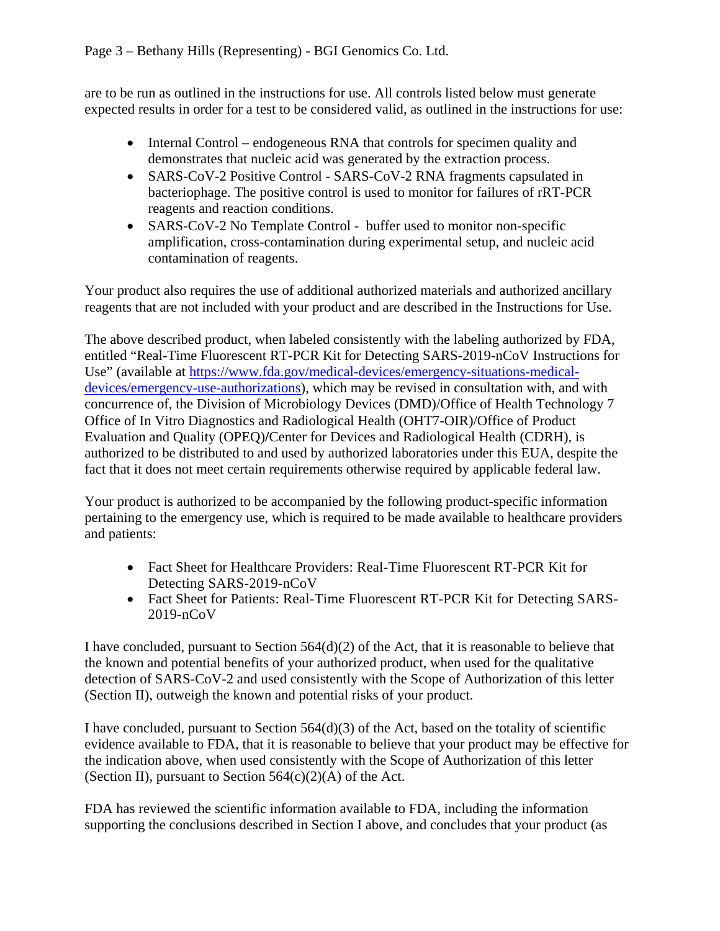are to be run as outlined in the instructions for use. All controls listed below must generate expected results in order for a test to be considered valid, as outlined in the instructions for use:

- Internal Control endogeneous RNA that controls for specimen quality and demonstrates that nucleic acid was generated by the extraction process.
- SARS-CoV-2 Positive Control SARS-CoV-2 RNA fragments capsulated in bacteriophage. The positive control is used to monitor for failures of rRT-PCR reagents and reaction conditions.
- SARS-CoV-2 No Template Control buffer used to monitor non-specific amplification, cross-contamination during experimental setup, and nucleic acid contamination of reagents.

Your product also requires the use of additional authorized materials and authorized ancillary reagents that are not included with your product and are described in the Instructions for Use.

The above described product, when labeled consistently with the labeling authorized by FDA, entitled "Real-Time Fluorescent RT-PCR Kit for Detecting SARS-2019-nCoV Instructions for Use" (available at [https://www.fda.gov/medical-devices/emergency-situations-medical](https://www.fda.gov/medical-devices/emergency-situations-medical-devices/emergency-use-authorizations)[devices/emergency-use-authorizations\)](https://www.fda.gov/medical-devices/emergency-situations-medical-devices/emergency-use-authorizations), which may be revised in consultation with, and with concurrence of, the Division of Microbiology Devices (DMD)/Office of Health Technology 7 Office of In Vitro Diagnostics and Radiological Health (OHT7-OIR)/Office of Product Evaluation and Quality (OPEQ)**/**Center for Devices and Radiological Health (CDRH), is authorized to be distributed to and used by authorized laboratories under this EUA, despite the fact that it does not meet certain requirements otherwise required by applicable federal law.

Your product is authorized to be accompanied by the following product-specific information pertaining to the emergency use, which is required to be made available to healthcare providers and patients:

- Fact Sheet for Healthcare Providers: Real-Time Fluorescent RT-PCR Kit for Detecting SARS-2019-nCoV
- Fact Sheet for Patients: Real-Time Fluorescent RT-PCR Kit for Detecting SARS-2019-nCoV

I have concluded, pursuant to Section 564(d)(2) of the Act, that it is reasonable to believe that the known and potential benefits of your authorized product, when used for the qualitative detection of SARS-CoV-2 and used consistently with the Scope of Authorization of this letter (Section II), outweigh the known and potential risks of your product.

I have concluded, pursuant to Section  $564(d)(3)$  of the Act, based on the totality of scientific evidence available to FDA, that it is reasonable to believe that your product may be effective for the indication above, when used consistently with the Scope of Authorization of this letter (Section II), pursuant to Section  $564(c)(2)(A)$  of the Act.

FDA has reviewed the scientific information available to FDA, including the information supporting the conclusions described in Section I above, and concludes that your product (as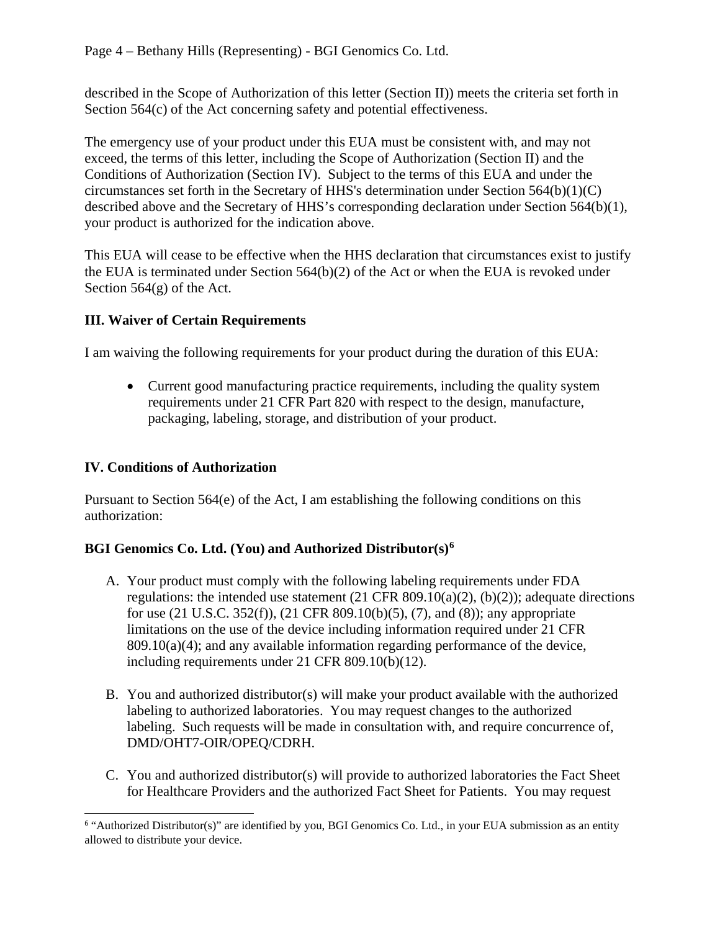described in the Scope of Authorization of this letter (Section II)) meets the criteria set forth in Section 564(c) of the Act concerning safety and potential effectiveness.

The emergency use of your product under this EUA must be consistent with, and may not exceed, the terms of this letter, including the Scope of Authorization (Section II) and the Conditions of Authorization (Section IV). Subject to the terms of this EUA and under the circumstances set forth in the Secretary of HHS's determination under Section 564(b)(1)(C) described above and the Secretary of HHS's corresponding declaration under Section 564(b)(1), your product is authorized for the indication above.

This EUA will cease to be effective when the HHS declaration that circumstances exist to justify the EUA is terminated under Section 564(b)(2) of the Act or when the EUA is revoked under Section 564(g) of the Act.

# **III. Waiver of Certain Requirements**

I am waiving the following requirements for your product during the duration of this EUA:

• Current good manufacturing practice requirements, including the quality system requirements under 21 CFR Part 820 with respect to the design, manufacture, packaging, labeling, storage, and distribution of your product.

# **IV. Conditions of Authorization**

Pursuant to Section 564(e) of the Act, I am establishing the following conditions on this authorization:

# **BGI Genomics Co. Ltd. (You) and Authorized Distributor(s)[6](#page-3-0)**

- A. Your product must comply with the following labeling requirements under FDA regulations: the intended use statement  $(21 \text{ CFR } 809.10(a)(2), (b)(2))$ ; adequate directions for use (21 U.S.C. 352(f)), (21 CFR 809.10(b)(5), (7), and (8)); any appropriate limitations on the use of the device including information required under 21 CFR  $809.10(a)(4)$ ; and any available information regarding performance of the device, including requirements under 21 CFR 809.10(b)(12).
- B. You and authorized distributor(s) will make your product available with the authorized labeling to authorized laboratories. You may request changes to the authorized labeling. Such requests will be made in consultation with, and require concurrence of, DMD/OHT7-OIR/OPEQ/CDRH.
- C. You and authorized distributor(s) will provide to authorized laboratories the Fact Sheet for Healthcare Providers and the authorized Fact Sheet for Patients. You may request

<span id="page-3-0"></span> $\overline{a}$ <sup>6</sup> "Authorized Distributor(s)" are identified by you, BGI Genomics Co. Ltd., in your EUA submission as an entity allowed to distribute your device.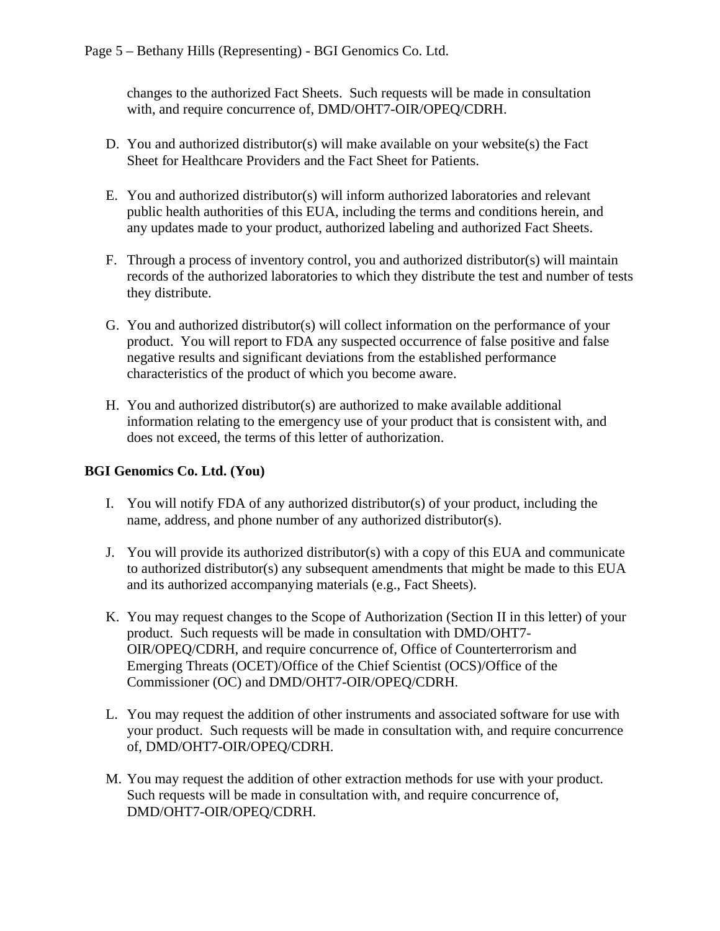changes to the authorized Fact Sheets. Such requests will be made in consultation with, and require concurrence of, DMD/OHT7-OIR/OPEQ/CDRH.

- D. You and authorized distributor(s) will make available on your website(s) the Fact Sheet for Healthcare Providers and the Fact Sheet for Patients.
- E. You and authorized distributor(s) will inform authorized laboratories and relevant public health authorities of this EUA, including the terms and conditions herein, and any updates made to your product, authorized labeling and authorized Fact Sheets.
- F. Through a process of inventory control, you and authorized distributor(s) will maintain records of the authorized laboratories to which they distribute the test and number of tests they distribute.
- G. You and authorized distributor(s) will collect information on the performance of your product. You will report to FDA any suspected occurrence of false positive and false negative results and significant deviations from the established performance characteristics of the product of which you become aware.
- H. You and authorized distributor(s) are authorized to make available additional information relating to the emergency use of your product that is consistent with, and does not exceed, the terms of this letter of authorization.

### **BGI Genomics Co. Ltd. (You)**

- I. You will notify FDA of any authorized distributor(s) of your product, including the name, address, and phone number of any authorized distributor(s).
- J. You will provide its authorized distributor(s) with a copy of this EUA and communicate to authorized distributor(s) any subsequent amendments that might be made to this EUA and its authorized accompanying materials (e.g., Fact Sheets).
- K. You may request changes to the Scope of Authorization (Section II in this letter) of your product. Such requests will be made in consultation with DMD/OHT7- OIR/OPEQ/CDRH, and require concurrence of, Office of Counterterrorism and Emerging Threats (OCET)/Office of the Chief Scientist (OCS)/Office of the Commissioner (OC) and DMD/OHT7-OIR/OPEQ/CDRH.
- L. You may request the addition of other instruments and associated software for use with your product. Such requests will be made in consultation with, and require concurrence of, DMD/OHT7-OIR/OPEQ/CDRH.
- M. You may request the addition of other extraction methods for use with your product. Such requests will be made in consultation with, and require concurrence of, DMD/OHT7-OIR/OPEQ/CDRH.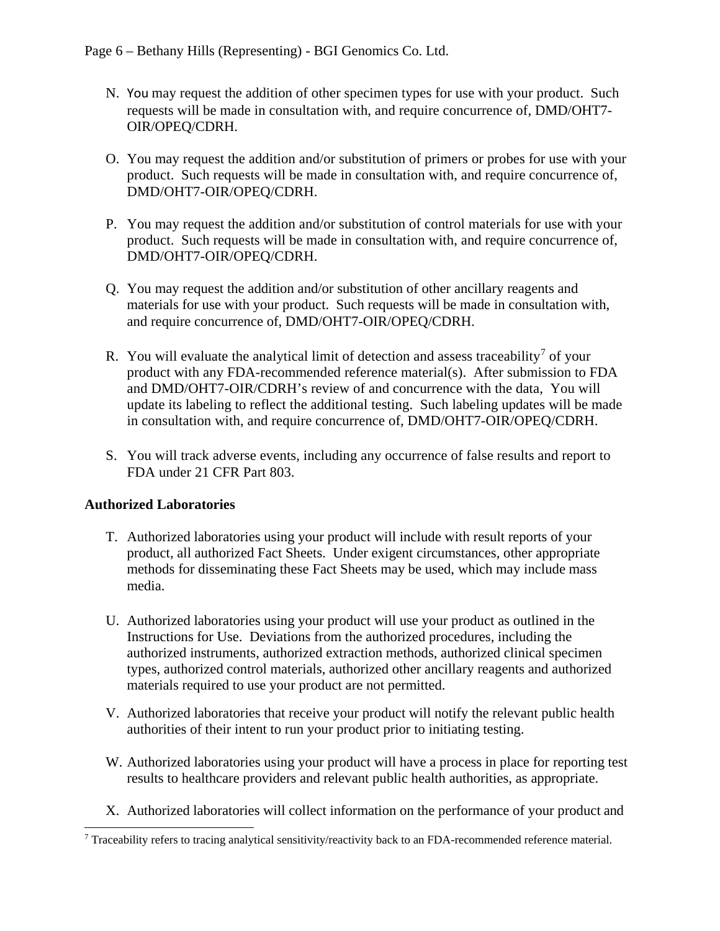- N. You may request the addition of other specimen types for use with your product. Such requests will be made in consultation with, and require concurrence of, DMD/OHT7- OIR/OPEQ/CDRH.
- O. You may request the addition and/or substitution of primers or probes for use with your product. Such requests will be made in consultation with, and require concurrence of, DMD/OHT7-OIR/OPEQ/CDRH.
- P. You may request the addition and/or substitution of control materials for use with your product. Such requests will be made in consultation with, and require concurrence of, DMD/OHT7-OIR/OPEQ/CDRH.
- Q. You may request the addition and/or substitution of other ancillary reagents and materials for use with your product. Such requests will be made in consultation with, and require concurrence of, DMD/OHT7-OIR/OPEQ/CDRH.
- R. You will evaluate the analytical limit of detection and assess traceability<sup>[7](#page-5-0)</sup> of your product with any FDA-recommended reference material(s). After submission to FDA and DMD/OHT7-OIR/CDRH's review of and concurrence with the data, You will update its labeling to reflect the additional testing. Such labeling updates will be made in consultation with, and require concurrence of, DMD/OHT7-OIR/OPEQ/CDRH.
- S. You will track adverse events, including any occurrence of false results and report to FDA under 21 CFR Part 803.

### **Authorized Laboratories**

- T. Authorized laboratories using your product will include with result reports of your product, all authorized Fact Sheets. Under exigent circumstances, other appropriate methods for disseminating these Fact Sheets may be used, which may include mass media.
- U. Authorized laboratories using your product will use your product as outlined in the Instructions for Use. Deviations from the authorized procedures, including the authorized instruments, authorized extraction methods, authorized clinical specimen types, authorized control materials, authorized other ancillary reagents and authorized materials required to use your product are not permitted.
- V. Authorized laboratories that receive your product will notify the relevant public health authorities of their intent to run your product prior to initiating testing.
- W. Authorized laboratories using your product will have a process in place for reporting test results to healthcare providers and relevant public health authorities, as appropriate.
- X. Authorized laboratories will collect information on the performance of your product and

<span id="page-5-0"></span> <sup>7</sup> Traceability refers to tracing analytical sensitivity/reactivity back to an FDA-recommended reference material.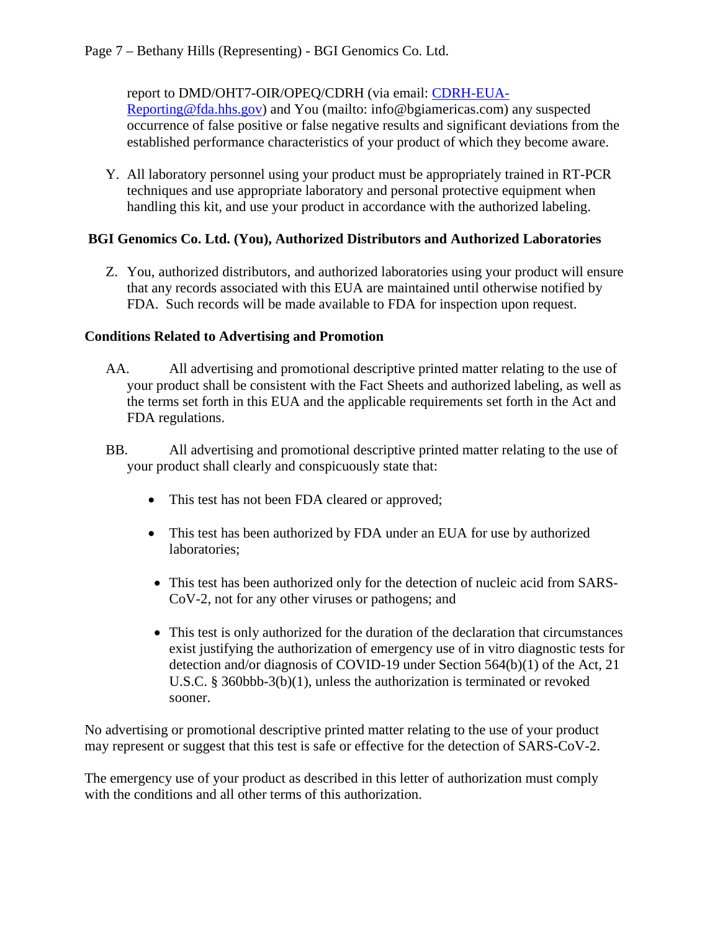report to DMD/OHT7-OIR/OPEQ/CDRH (via email: [CDRH-EUA-](mailto:CDRH-EUA-Reporting@fda.hhs.gov)

[Reporting@fda.hhs.gov\)](mailto:CDRH-EUA-Reporting@fda.hhs.gov) and You (mailto: info@bgiamericas.com) any suspected occurrence of false positive or false negative results and significant deviations from the established performance characteristics of your product of which they become aware.

Y. All laboratory personnel using your product must be appropriately trained in RT-PCR techniques and use appropriate laboratory and personal protective equipment when handling this kit, and use your product in accordance with the authorized labeling.

### **BGI Genomics Co. Ltd. (You), Authorized Distributors and Authorized Laboratories**

Z. You, authorized distributors, and authorized laboratories using your product will ensure that any records associated with this EUA are maintained until otherwise notified by FDA. Such records will be made available to FDA for inspection upon request.

### **Conditions Related to Advertising and Promotion**

- AA. All advertising and promotional descriptive printed matter relating to the use of your product shall be consistent with the Fact Sheets and authorized labeling, as well as the terms set forth in this EUA and the applicable requirements set forth in the Act and FDA regulations.
- BB. All advertising and promotional descriptive printed matter relating to the use of your product shall clearly and conspicuously state that:
	- This test has not been FDA cleared or approved;
	- This test has been authorized by FDA under an EUA for use by authorized laboratories;
	- This test has been authorized only for the detection of nucleic acid from SARS-CoV-2, not for any other viruses or pathogens; and
	- This test is only authorized for the duration of the declaration that circumstances exist justifying the authorization of emergency use of in vitro diagnostic tests for detection and/or diagnosis of COVID-19 under Section 564(b)(1) of the Act, 21 U.S.C. § 360bbb-3(b)(1), unless the authorization is terminated or revoked sooner.

No advertising or promotional descriptive printed matter relating to the use of your product may represent or suggest that this test is safe or effective for the detection of SARS-CoV-2.

The emergency use of your product as described in this letter of authorization must comply with the conditions and all other terms of this authorization.